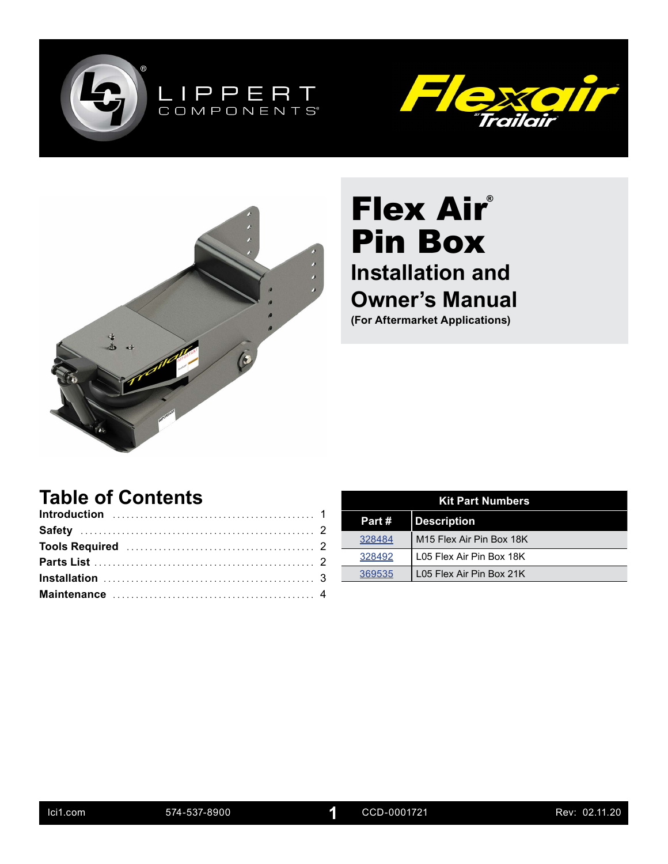





# **Flex Air®** Pin Box **Installation and Owner's Manual**

**(For Aftermarket Applications)**

## **Table of Contents**

| <b>Kit Part Numbers</b> |                                      |  |  |  |
|-------------------------|--------------------------------------|--|--|--|
| Part #                  | <b>Description</b>                   |  |  |  |
| 328484                  | M <sub>15</sub> Flex Air Pin Box 18K |  |  |  |
| 328492                  | L05 Flex Air Pin Box 18K             |  |  |  |
| 369535                  | L05 Flex Air Pin Box 21K             |  |  |  |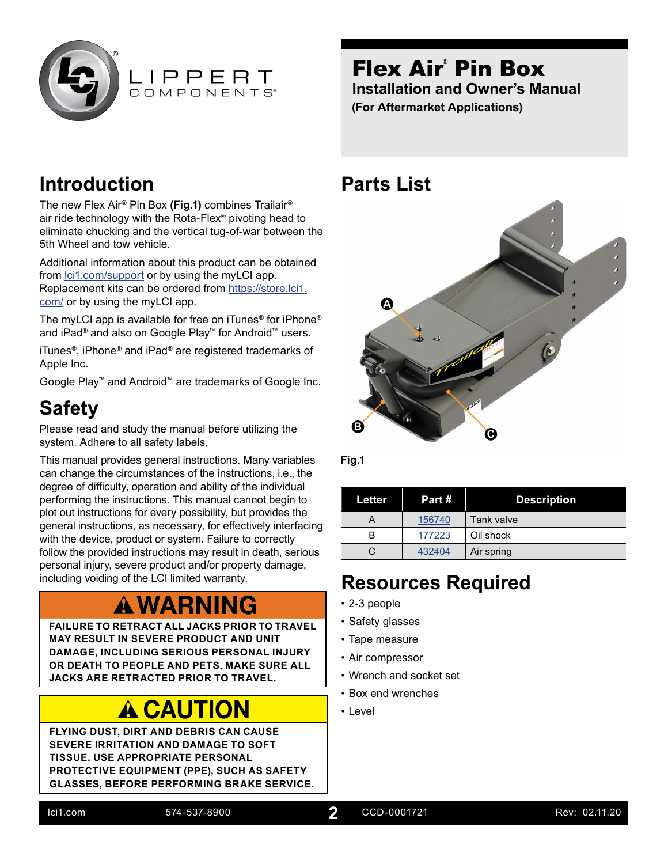<span id="page-1-0"></span>



#### Flex Air® Pin Box **Installation and Owner's Manual (For Aftermarket Applications)**

## **Introduction**

The new Flex Air® Pin Box **(Fig.1)** combines Trailair® air ride technology with the Rota-Flex® pivoting head to eliminate chucking and the vertical tug-of-war between the 5th Wheel and tow vehicle.

Additional information about this product can be obtained from **lci1.com/support** or by using the myLCI app. Replacement kits can be ordered from [https://store.lci1.](https://store.lci1.com/) [com/](https://store.lci1.com/) or by using the myLCI app.

The myLCI app is available for free on iTunes® for iPhone® and iPad® and also on Google Play™ for Android™ users.

iTunes®, iPhone® and iPad® are registered trademarks of Apple Inc.

Google Play™ and Android™ are trademarks of Google Inc.

# **Safety**

Please read and study the manual before utilizing the system. Adhere to all safety labels.

This manual provides general instructions. Many variables can change the circumstances of the instructions, i.e., the degree of difficulty, operation and ability of the individual performing the instructions. This manual cannot begin to plot out instructions for every possibility, but provides the general instructions, as necessary, for effectively interfacing with the device, product or system. Failure to correctly follow the provided instructions may result in death, serious personal injury, severe product and/or property damage, including voiding of the LCI limited warranty.

# **A WARNING**

**FAILURE TO RETRACT ALL JACKS PRIOR TO TRAVEL MAY RESULT IN SEVERE PRODUCT AND UNIT DAMAGE, INCLUDING SERIOUS PERSONAL INJURY OR DEATH TO PEOPLE AND PETS. MAKE SURE ALL JACKS ARE RETRACTED PRIOR TO TRAVEL.**

# **A CAUTION**

**FLYING DUST, DIRT AND DEBRIS CAN CAUSE SEVERE IRRITATION AND DAMAGE TO SOFT TISSUE. USE APPROPRIATE PERSONAL PROTECTIVE EQUIPMENT (PPE), SUCH AS SAFETY GLASSES, BEFORE PERFORMING BRAKE SERVICE.** 

## **Parts List**



**Fig.1**

| Letter | Part # | <b>Description</b> |
|--------|--------|--------------------|
|        | 156740 | Tank valve         |
| R      | 177223 | Oil shock          |
|        | 432404 | Air spring         |

## **Resources Required**

- 2-3 people
- Safety glasses
- Tape measure
- Air compressor
- Wrench and socket set
- Box end wrenches
- Level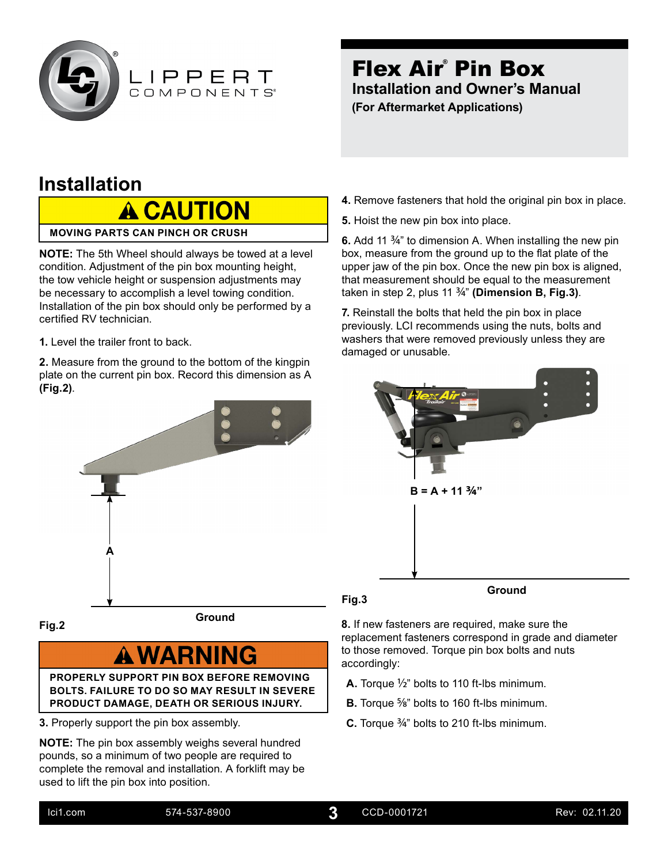<span id="page-2-0"></span>

#### Flex Air® Pin Box **Installation and Owner's Manual (For Aftermarket Applications)**

## **Installation**

## **A CAUTION**

**MOVING PARTS CAN PINCH OR CRUSH**

**NOTE:** The 5th Wheel should always be towed at a level condition. Adjustment of the pin box mounting height, the tow vehicle height or suspension adjustments may be necessary to accomplish a level towing condition. Installation of the pin box should only be performed by a certified RV technician.

**1.** Level the trailer front to back.

**2.** Measure from the ground to the bottom of the kingpin plate on the current pin box. Record this dimension as A **(Fig.2)**.



**Fig.2**

**Ground**

# **A WARNING**

**PROPERLY SUPPORT PIN BOX BEFORE REMOVING BOLTS. FAILURE TO DO SO MAY RESULT IN SEVERE PRODUCT DAMAGE, DEATH OR SERIOUS INJURY.**

**3.** Properly support the pin box assembly.

**NOTE:** The pin box assembly weighs several hundred pounds, so a minimum of two people are required to complete the removal and installation. A forklift may be used to lift the pin box into position.

- **4.** Remove fasteners that hold the original pin box in place.
- **5.** Hoist the new pin box into place.

**6.** Add 11 <sup>3</sup>/<sub>4</sub>" to dimension A. When installing the new pin box, measure from the ground up to the flat plate of the upper jaw of the pin box. Once the new pin box is aligned, that measurement should be equal to the measurement taken in step 2, plus 11 3/4" **(Dimension B, Fig.3)**.

**7.** Reinstall the bolts that held the pin box in place previously. LCI recommends using the nuts, bolts and washers that were removed previously unless they are damaged or unusable.



**Fig.3**

**Ground**

**8.** If new fasteners are required, make sure the replacement fasteners correspond in grade and diameter to those removed. Torque pin box bolts and nuts accordingly:

- **A.** Torque  $\frac{1}{2}$ " bolts to 110 ft-lbs minimum.
- **B.** Torque <sup>5</sup>/<sub>8</sub>" bolts to 160 ft-lbs minimum.
- **C.** Torque 3/4" bolts to 210 ft-lbs minimum.